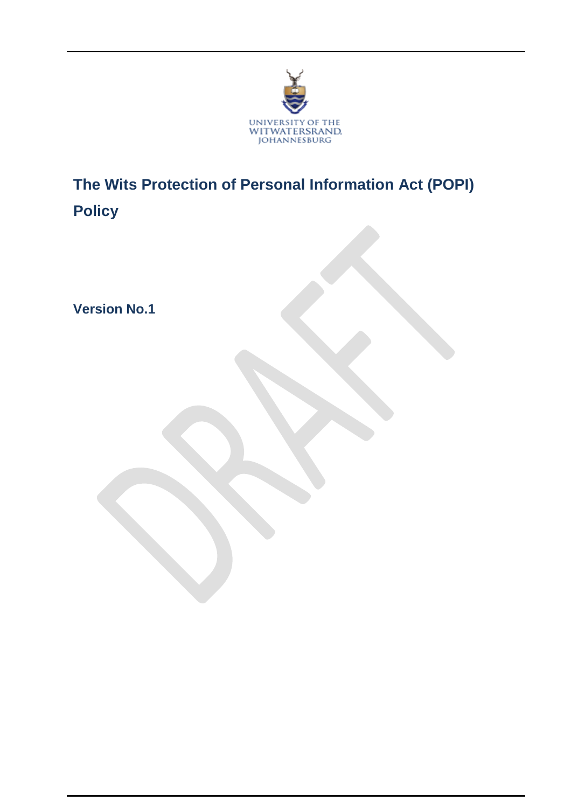

**The Wits Protection of Personal Information Act (POPI) Policy**

**Version No.1**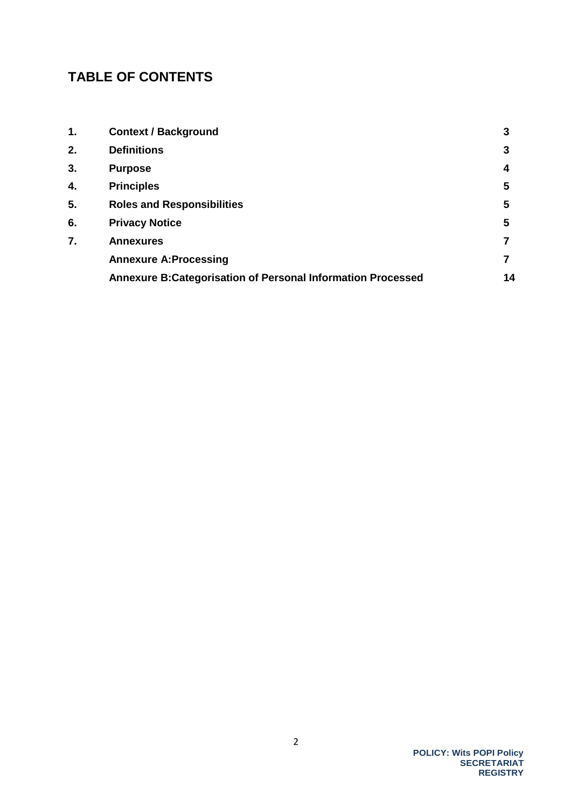# **TABLE OF CONTENTS**

| 1. | <b>Context / Background</b>                                         | 3  |
|----|---------------------------------------------------------------------|----|
| 2. | <b>Definitions</b>                                                  | 3  |
| 3. | <b>Purpose</b>                                                      | 4  |
| 4. | <b>Principles</b>                                                   | 5  |
| 5. | <b>Roles and Responsibilities</b>                                   | 5  |
| 6. | <b>Privacy Notice</b>                                               | 5  |
| 7. | <b>Annexures</b>                                                    |    |
|    | <b>Annexure A:Processing</b>                                        |    |
|    | <b>Annexure B: Categorisation of Personal Information Processed</b> | 14 |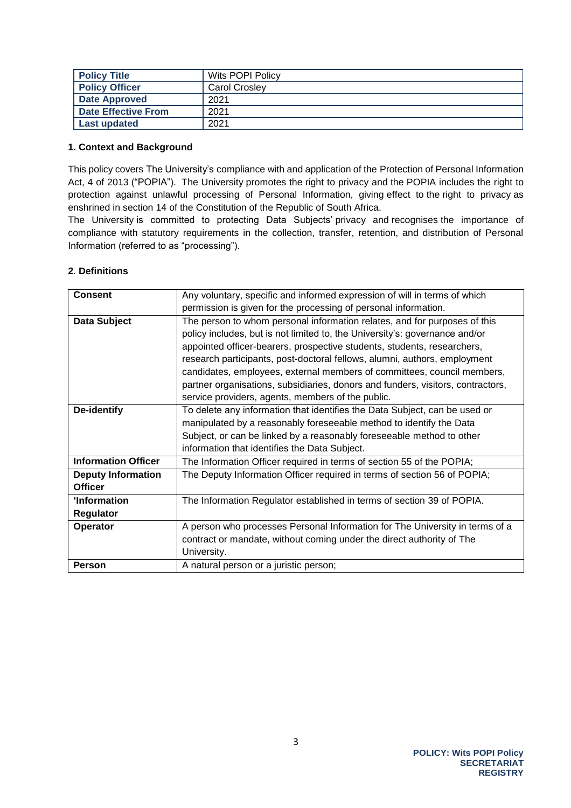| <b>Policy Title</b>   | Wits POPI Policy |
|-----------------------|------------------|
| <b>Policy Officer</b> | Carol Crosley    |
| <b>Date Approved</b>  | 2021             |
| Date Effective From   | 2021             |
| Last updated          | 2021             |

#### <span id="page-2-0"></span>**1. Context and Background**

This policy covers The University's compliance with and application of the Protection of Personal Information Act, 4 of 2013 ("POPIA"). The University promotes the right to privacy and the POPIA includes the right to protection against unlawful processing of Personal Information, giving effect to the right to privacy as enshrined in section 14 of the Constitution of the Republic of South Africa.

The University is committed to protecting Data Subjects' privacy and recognises the importance of compliance with statutory requirements in the collection, transfer, retention, and distribution of Personal Information (referred to as "processing").

## **2**. **Definitions**

| <b>Consent</b>                                                                                      | Any voluntary, specific and informed expression of will in terms of which       |  |  |
|-----------------------------------------------------------------------------------------------------|---------------------------------------------------------------------------------|--|--|
|                                                                                                     | permission is given for the processing of personal information.                 |  |  |
| Data Subject<br>The person to whom personal information relates, and for purposes of this           |                                                                                 |  |  |
|                                                                                                     | policy includes, but is not limited to, the University's: governance and/or     |  |  |
|                                                                                                     | appointed officer-bearers, prospective students, students, researchers,         |  |  |
|                                                                                                     | research participants, post-doctoral fellows, alumni, authors, employment       |  |  |
|                                                                                                     | candidates, employees, external members of committees, council members,         |  |  |
|                                                                                                     | partner organisations, subsidiaries, donors and funders, visitors, contractors, |  |  |
|                                                                                                     | service providers, agents, members of the public.                               |  |  |
| To delete any information that identifies the Data Subject, can be used or<br>De-identify           |                                                                                 |  |  |
|                                                                                                     | manipulated by a reasonably foreseeable method to identify the Data             |  |  |
|                                                                                                     | Subject, or can be linked by a reasonably foreseeable method to other           |  |  |
|                                                                                                     | information that identifies the Data Subject.                                   |  |  |
| <b>Information Officer</b><br>The Information Officer required in terms of section 55 of the POPIA; |                                                                                 |  |  |
| <b>Deputy Information</b>                                                                           | The Deputy Information Officer required in terms of section 56 of POPIA;        |  |  |
| <b>Officer</b>                                                                                      |                                                                                 |  |  |
| 'Information<br>The Information Regulator established in terms of section 39 of POPIA.              |                                                                                 |  |  |
| Regulator                                                                                           |                                                                                 |  |  |
| A person who processes Personal Information for The University in terms of a<br>Operator            |                                                                                 |  |  |
|                                                                                                     | contract or mandate, without coming under the direct authority of The           |  |  |
| University.                                                                                         |                                                                                 |  |  |
| A natural person or a juristic person;<br>Person                                                    |                                                                                 |  |  |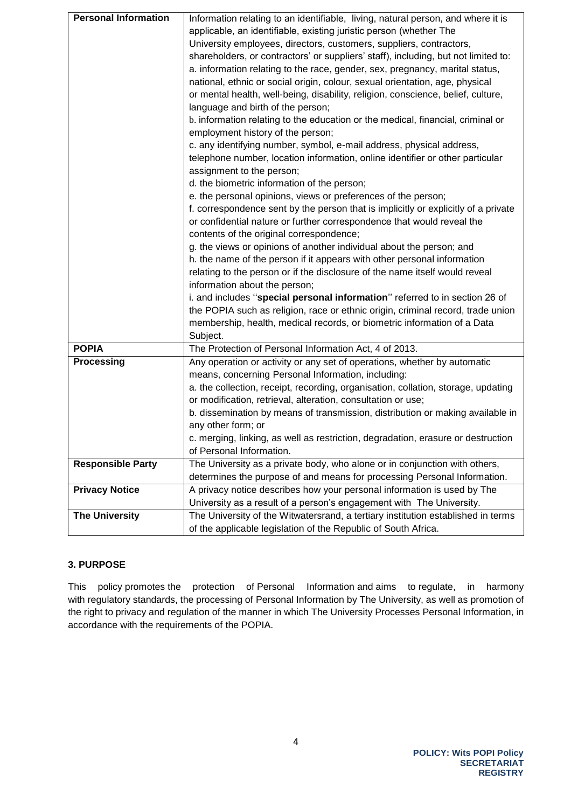| <b>Personal Information</b> | Information relating to an identifiable, living, natural person, and where it is   |  |  |
|-----------------------------|------------------------------------------------------------------------------------|--|--|
|                             | applicable, an identifiable, existing juristic person (whether The                 |  |  |
|                             | University employees, directors, customers, suppliers, contractors,                |  |  |
|                             | shareholders, or contractors' or suppliers' staff), including, but not limited to: |  |  |
|                             | a. information relating to the race, gender, sex, pregnancy, marital status,       |  |  |
|                             | national, ethnic or social origin, colour, sexual orientation, age, physical       |  |  |
|                             | or mental health, well-being, disability, religion, conscience, belief, culture,   |  |  |
|                             | language and birth of the person;                                                  |  |  |
|                             | b. information relating to the education or the medical, financial, criminal or    |  |  |
|                             | employment history of the person;                                                  |  |  |
|                             | c. any identifying number, symbol, e-mail address, physical address,               |  |  |
|                             | telephone number, location information, online identifier or other particular      |  |  |
|                             | assignment to the person;                                                          |  |  |
|                             | d. the biometric information of the person;                                        |  |  |
|                             | e. the personal opinions, views or preferences of the person;                      |  |  |
|                             | f. correspondence sent by the person that is implicitly or explicitly of a private |  |  |
|                             | or confidential nature or further correspondence that would reveal the             |  |  |
|                             | contents of the original correspondence;                                           |  |  |
|                             | g. the views or opinions of another individual about the person; and               |  |  |
|                             | h. the name of the person if it appears with other personal information            |  |  |
|                             | relating to the person or if the disclosure of the name itself would reveal        |  |  |
|                             | information about the person;                                                      |  |  |
|                             | i. and includes "special personal information" referred to in section 26 of        |  |  |
|                             | the POPIA such as religion, race or ethnic origin, criminal record, trade union    |  |  |
|                             | membership, health, medical records, or biometric information of a Data            |  |  |
|                             | Subject.                                                                           |  |  |
| <b>POPIA</b>                | The Protection of Personal Information Act, 4 of 2013.                             |  |  |
| <b>Processing</b>           | Any operation or activity or any set of operations, whether by automatic           |  |  |
|                             | means, concerning Personal Information, including:                                 |  |  |
|                             | a. the collection, receipt, recording, organisation, collation, storage, updating  |  |  |
|                             | or modification, retrieval, alteration, consultation or use;                       |  |  |
|                             | b. dissemination by means of transmission, distribution or making available in     |  |  |
|                             | any other form; or                                                                 |  |  |
|                             | c. merging, linking, as well as restriction, degradation, erasure or destruction   |  |  |
|                             | of Personal Information.                                                           |  |  |
| <b>Responsible Party</b>    | The University as a private body, who alone or in conjunction with others,         |  |  |
|                             | determines the purpose of and means for processing Personal Information.           |  |  |
| <b>Privacy Notice</b>       | A privacy notice describes how your personal information is used by The            |  |  |
|                             | University as a result of a person's engagement with The University.               |  |  |
| <b>The University</b>       | The University of the Witwatersrand, a tertiary institution established in terms   |  |  |
|                             | of the applicable legislation of the Republic of South Africa.                     |  |  |

## <span id="page-3-0"></span>**3. PURPOSE**

This policy promotes the protection of Personal Information and aims to regulate, in harmony with regulatory standards, the processing of Personal Information by The University, as well as promotion of the right to privacy and regulation of the manner in which The University Processes Personal Information, in accordance with the requirements of the POPIA.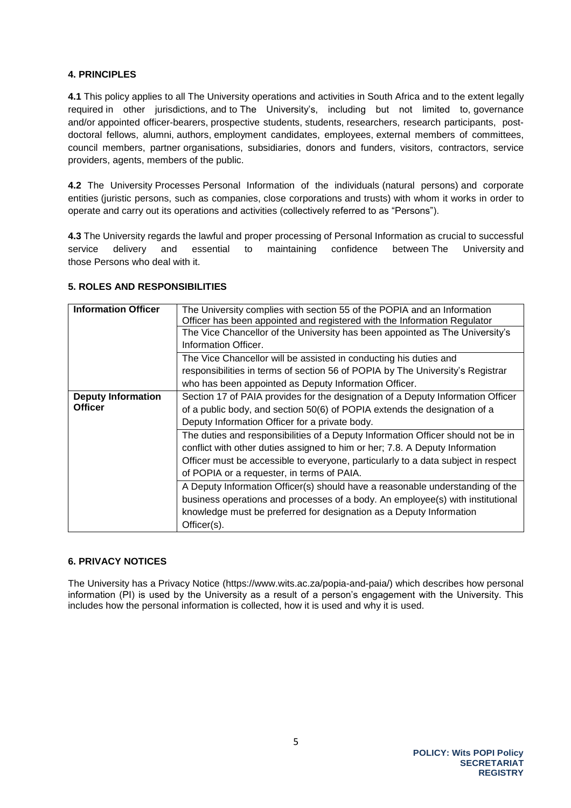#### <span id="page-4-0"></span>**4. PRINCIPLES**

**4.1** This policy applies to all The University operations and activities in South Africa and to the extent legally required in other jurisdictions, and to The University's, including but not limited to, governance and/or appointed officer-bearers, prospective students, students, researchers, research participants, postdoctoral fellows, alumni, authors, employment candidates, employees, external members of committees, council members, partner organisations, subsidiaries, donors and funders, visitors, contractors, service providers, agents, members of the public.

**4.2** The University Processes Personal Information of the individuals (natural persons) and corporate entities (juristic persons, such as companies, close corporations and trusts) with whom it works in order to operate and carry out its operations and activities (collectively referred to as "Persons").

**4.3** The University regards the lawful and proper processing of Personal Information as crucial to successful service delivery and essential to maintaining confidence between The University and those Persons who deal with it.

#### <span id="page-4-1"></span>**5. ROLES AND RESPONSIBILITIES**

| <b>Information Officer</b>                                                                  | The University complies with section 55 of the POPIA and an Information<br>Officer has been appointed and registered with the Information Regulator |  |  |
|---------------------------------------------------------------------------------------------|-----------------------------------------------------------------------------------------------------------------------------------------------------|--|--|
|                                                                                             | The Vice Chancellor of the University has been appointed as The University's                                                                        |  |  |
|                                                                                             | Information Officer.                                                                                                                                |  |  |
|                                                                                             | The Vice Chancellor will be assisted in conducting his duties and                                                                                   |  |  |
|                                                                                             | responsibilities in terms of section 56 of POPIA by The University's Registrar                                                                      |  |  |
|                                                                                             | who has been appointed as Deputy Information Officer.                                                                                               |  |  |
| <b>Deputy Information</b>                                                                   | Section 17 of PAIA provides for the designation of a Deputy Information Officer                                                                     |  |  |
| <b>Officer</b><br>of a public body, and section 50(6) of POPIA extends the designation of a |                                                                                                                                                     |  |  |
|                                                                                             | Deputy Information Officer for a private body.                                                                                                      |  |  |
|                                                                                             | The duties and responsibilities of a Deputy Information Officer should not be in                                                                    |  |  |
|                                                                                             | conflict with other duties assigned to him or her; 7.8. A Deputy Information                                                                        |  |  |
|                                                                                             | Officer must be accessible to everyone, particularly to a data subject in respect                                                                   |  |  |
|                                                                                             | of POPIA or a requester, in terms of PAIA.                                                                                                          |  |  |
|                                                                                             | A Deputy Information Officer(s) should have a reasonable understanding of the                                                                       |  |  |
|                                                                                             | business operations and processes of a body. An employee(s) with institutional                                                                      |  |  |
|                                                                                             | knowledge must be preferred for designation as a Deputy Information                                                                                 |  |  |
|                                                                                             | Officer(s).                                                                                                                                         |  |  |

## **6. PRIVACY NOTICES**

The University has a Privacy Notice (https://www.wits.ac.za/popia-and-paia/) which describes how personal information (PI) is used by the University as a result of a person's engagement with the University. This includes how the personal information is collected, how it is used and why it is used.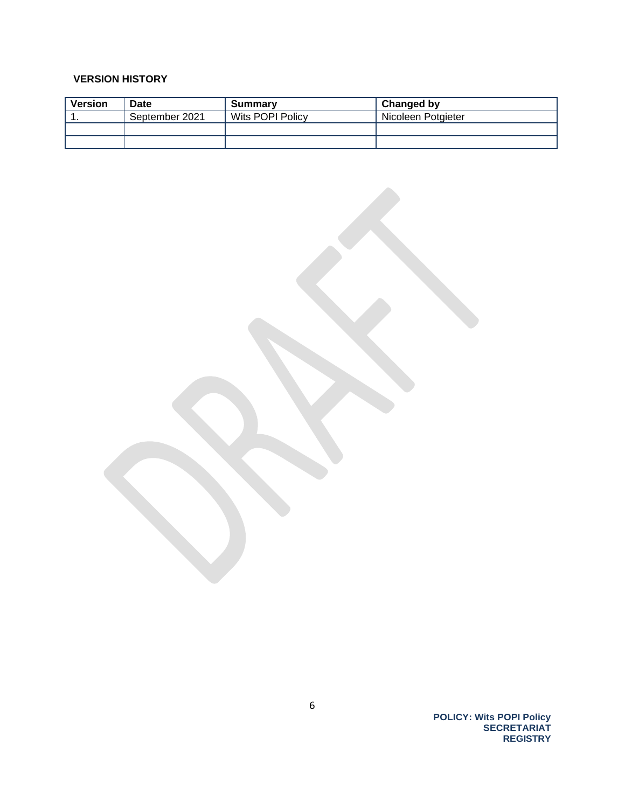#### **VERSION HISTORY**

| <b>Version</b> | <b>Date</b>    | Summary          | Changed by         |
|----------------|----------------|------------------|--------------------|
|                | September 2021 | Wits POPI Policy | Nicoleen Potgieter |
|                |                |                  |                    |
|                |                |                  |                    |

**POLICY: Wits POPI Policy SECRETARIAT REGISTRY**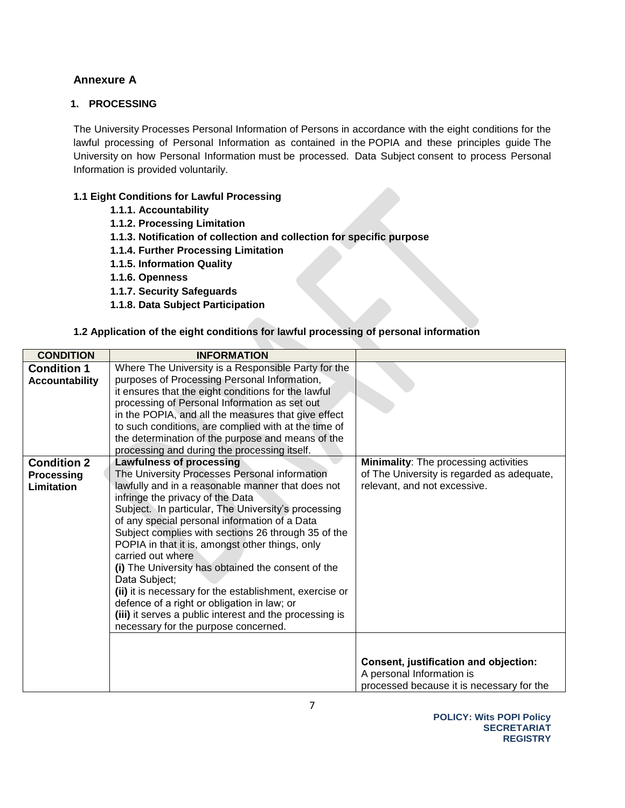## **Annexure A**

#### **1. PROCESSING**

The University Processes Personal Information of Persons in accordance with the eight conditions for the lawful processing of Personal Information as contained in the POPIA and these principles guide The University on how Personal Information must be processed. Data Subject consent to process Personal Information is provided voluntarily.

#### **1.1 Eight Conditions for Lawful Processing**

- **1.1.1. Accountability**
- **1.1.2. Processing Limitation**
- **1.1.3. Notification of collection and collection for specific purpose**
- **1.1.4. Further Processing Limitation**
- **1.1.5. Information Quality**
- **1.1.6. Openness**
- **1.1.7. Security Safeguards**
- **1.1.8. Data Subject Participation**

#### **1.2 Application of the eight conditions for lawful processing of personal information**

| <b>CONDITION</b>                            | <b>INFORMATION</b>                                                                                                                                                                                                                                                                                                                                                                                                                                                                                                                                                                                               |                                                                                                                 |
|---------------------------------------------|------------------------------------------------------------------------------------------------------------------------------------------------------------------------------------------------------------------------------------------------------------------------------------------------------------------------------------------------------------------------------------------------------------------------------------------------------------------------------------------------------------------------------------------------------------------------------------------------------------------|-----------------------------------------------------------------------------------------------------------------|
| <b>Condition 1</b><br><b>Accountability</b> | Where The University is a Responsible Party for the<br>purposes of Processing Personal Information,<br>it ensures that the eight conditions for the lawful<br>processing of Personal Information as set out<br>in the POPIA, and all the measures that give effect<br>to such conditions, are complied with at the time of<br>the determination of the purpose and means of the<br>processing and during the processing itself.                                                                                                                                                                                  |                                                                                                                 |
| <b>Condition 2</b>                          | <b>Lawfulness of processing</b>                                                                                                                                                                                                                                                                                                                                                                                                                                                                                                                                                                                  | <b>Minimality:</b> The processing activities                                                                    |
| <b>Processing</b>                           | The University Processes Personal information                                                                                                                                                                                                                                                                                                                                                                                                                                                                                                                                                                    | of The University is regarded as adequate,                                                                      |
| <b>Limitation</b>                           | lawfully and in a reasonable manner that does not<br>infringe the privacy of the Data<br>Subject. In particular, The University's processing<br>of any special personal information of a Data<br>Subject complies with sections 26 through 35 of the<br>POPIA in that it is, amongst other things, only<br>carried out where<br>(i) The University has obtained the consent of the<br>Data Subject;<br>(ii) it is necessary for the establishment, exercise or<br>defence of a right or obligation in law; or<br>(iii) it serves a public interest and the processing is<br>necessary for the purpose concerned. | relevant, and not excessive.                                                                                    |
|                                             |                                                                                                                                                                                                                                                                                                                                                                                                                                                                                                                                                                                                                  | Consent, justification and objection:<br>A personal Information is<br>processed because it is necessary for the |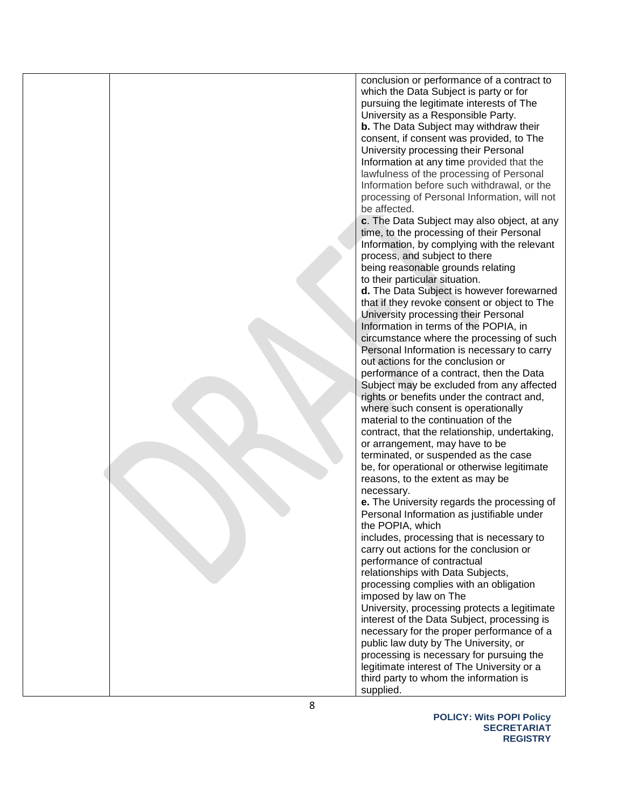|  | conclusion or performance of a contract to<br>which the Data Subject is party or for<br>pursuing the legitimate interests of The<br>University as a Responsible Party.<br><b>b.</b> The Data Subject may withdraw their<br>consent, if consent was provided, to The<br>University processing their Personal<br>Information at any time provided that the<br>lawfulness of the processing of Personal<br>Information before such withdrawal, or the<br>processing of Personal Information, will not<br>be affected.<br>c. The Data Subject may also object, at any<br>time, to the processing of their Personal<br>Information, by complying with the relevant<br>process, and subject to there<br>being reasonable grounds relating<br>to their particular situation.<br>d. The Data Subject is however forewarned<br>that if they revoke consent or object to The<br>University processing their Personal<br>Information in terms of the POPIA, in<br>circumstance where the processing of such<br>Personal Information is necessary to carry<br>out actions for the conclusion or<br>performance of a contract, then the Data<br>Subject may be excluded from any affected<br>rights or benefits under the contract and,<br>where such consent is operationally<br>material to the continuation of the<br>contract, that the relationship, undertaking,<br>or arrangement, may have to be<br>terminated, or suspended as the case<br>be, for operational or otherwise legitimate<br>reasons, to the extent as may be<br>necessary.<br>e. The University regards the processing of<br>Personal Information as justifiable under<br>the POPIA, which<br>includes, processing that is necessary to<br>carry out actions for the conclusion or<br>performance of contractual<br>relationships with Data Subjects,<br>processing complies with an obligation<br>imposed by law on The<br>University, processing protects a legitimate<br>interest of the Data Subject, processing is |
|--|-----------------------------------------------------------------------------------------------------------------------------------------------------------------------------------------------------------------------------------------------------------------------------------------------------------------------------------------------------------------------------------------------------------------------------------------------------------------------------------------------------------------------------------------------------------------------------------------------------------------------------------------------------------------------------------------------------------------------------------------------------------------------------------------------------------------------------------------------------------------------------------------------------------------------------------------------------------------------------------------------------------------------------------------------------------------------------------------------------------------------------------------------------------------------------------------------------------------------------------------------------------------------------------------------------------------------------------------------------------------------------------------------------------------------------------------------------------------------------------------------------------------------------------------------------------------------------------------------------------------------------------------------------------------------------------------------------------------------------------------------------------------------------------------------------------------------------------------------------------------------------------------------------------------------------------------------------------------------------------|
|  | necessary for the proper performance of a<br>public law duty by The University, or<br>processing is necessary for pursuing the<br>legitimate interest of The University or a<br>third party to whom the information is                                                                                                                                                                                                                                                                                                                                                                                                                                                                                                                                                                                                                                                                                                                                                                                                                                                                                                                                                                                                                                                                                                                                                                                                                                                                                                                                                                                                                                                                                                                                                                                                                                                                                                                                                            |
|  | supplied.                                                                                                                                                                                                                                                                                                                                                                                                                                                                                                                                                                                                                                                                                                                                                                                                                                                                                                                                                                                                                                                                                                                                                                                                                                                                                                                                                                                                                                                                                                                                                                                                                                                                                                                                                                                                                                                                                                                                                                         |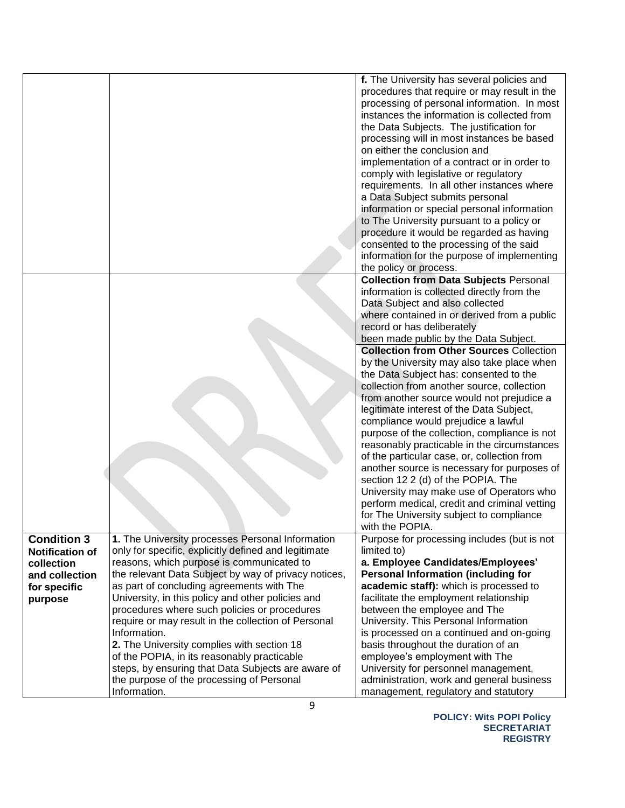|                        |                                                      | f. The University has several policies and      |
|------------------------|------------------------------------------------------|-------------------------------------------------|
|                        |                                                      |                                                 |
|                        |                                                      | procedures that require or may result in the    |
|                        |                                                      | processing of personal information. In most     |
|                        |                                                      | instances the information is collected from     |
|                        |                                                      | the Data Subjects. The justification for        |
|                        |                                                      | processing will in most instances be based      |
|                        |                                                      | on either the conclusion and                    |
|                        |                                                      | implementation of a contract or in order to     |
|                        |                                                      | comply with legislative or regulatory           |
|                        |                                                      | requirements. In all other instances where      |
|                        |                                                      | a Data Subject submits personal                 |
|                        |                                                      | information or special personal information     |
|                        |                                                      | to The University pursuant to a policy or       |
|                        |                                                      | procedure it would be regarded as having        |
|                        |                                                      | consented to the processing of the said         |
|                        |                                                      | information for the purpose of implementing     |
|                        |                                                      | the policy or process.                          |
|                        |                                                      | <b>Collection from Data Subjects Personal</b>   |
|                        |                                                      | information is collected directly from the      |
|                        |                                                      | Data Subject and also collected                 |
|                        |                                                      | where contained in or derived from a public     |
|                        |                                                      | record or has deliberately                      |
|                        |                                                      | been made public by the Data Subject.           |
|                        |                                                      | <b>Collection from Other Sources Collection</b> |
|                        |                                                      | by the University may also take place when      |
|                        |                                                      | the Data Subject has: consented to the          |
|                        |                                                      | collection from another source, collection      |
|                        |                                                      | from another source would not prejudice a       |
|                        |                                                      | legitimate interest of the Data Subject,        |
|                        |                                                      | compliance would prejudice a lawful             |
|                        |                                                      | purpose of the collection, compliance is not    |
|                        |                                                      | reasonably practicable in the circumstances     |
|                        |                                                      | of the particular case, or, collection from     |
|                        |                                                      | another source is necessary for purposes of     |
|                        |                                                      | section 12 2 (d) of the POPIA. The              |
|                        |                                                      | University may make use of Operators who        |
|                        |                                                      | perform medical, credit and criminal vetting    |
|                        |                                                      | for The University subject to compliance        |
|                        |                                                      | with the POPIA.                                 |
| <b>Condition 3</b>     | 1. The University processes Personal Information     | Purpose for processing includes (but is not     |
| <b>Notification of</b> | only for specific, explicitly defined and legitimate | limited to)                                     |
| collection             | reasons, which purpose is communicated to            | a. Employee Candidates/Employees'               |
| and collection         | the relevant Data Subject by way of privacy notices, | <b>Personal Information (including for</b>      |
| for specific           | as part of concluding agreements with The            | academic staff): which is processed to          |
| purpose                | University, in this policy and other policies and    | facilitate the employment relationship          |
|                        | procedures where such policies or procedures         | between the employee and The                    |
|                        | require or may result in the collection of Personal  | University. This Personal Information           |
|                        | Information.                                         | is processed on a continued and on-going        |
|                        | 2. The University complies with section 18           | basis throughout the duration of an             |
|                        | of the POPIA, in its reasonably practicable          | employee's employment with The                  |
|                        | steps, by ensuring that Data Subjects are aware of   | University for personnel management,            |
|                        | the purpose of the processing of Personal            | administration, work and general business       |
|                        | Information.                                         | management, regulatory and statutory            |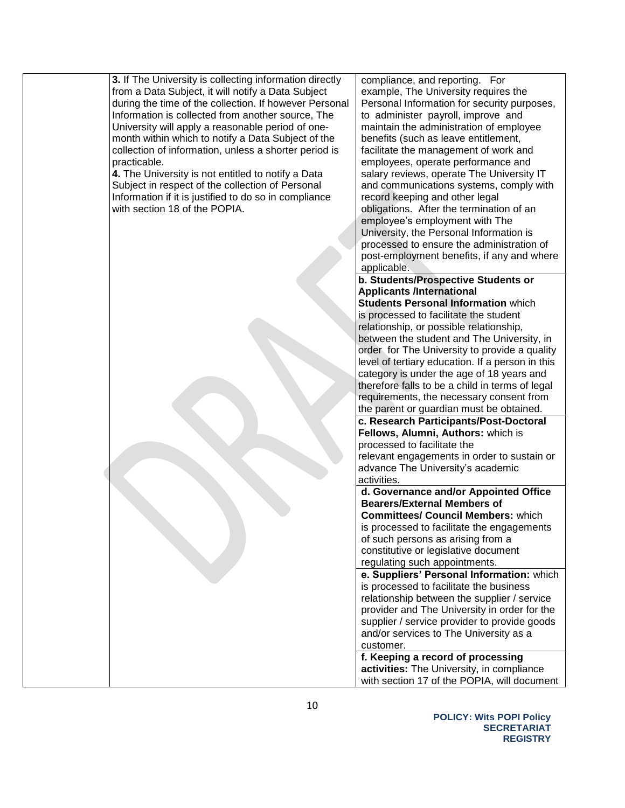**3.** If The University is collecting information directly from a Data Subject, it will notify a Data Subject during the time of the collection. If however Personal Information is collected from another source, The University will apply a reasonable period of onemonth within which to notify a Data Subject of the collection of information, unless a shorter period is practicable.

**4.** The University is not entitled to notify a Data Subject in respect of the collection of Personal Information if it is justified to do so in compliance with section 18 of the POPIA.

compliance, and reporting. For example, The University requires the Personal Information for security purposes, to administer payroll, improve and maintain the administration of employee benefits (such as leave entitlement, facilitate the management of work and employees, operate performance and salary reviews, operate The University IT and communications systems, comply with record keeping and other legal obligations. After the termination of an employee's employment with The University, the Personal Information is processed to ensure the administration of post-employment benefits, if any and where applicable.

#### **b. Students/Prospective Students or Applicants /International**

**Students Personal Information** which is processed to facilitate the student relationship, or possible relationship, between the student and The University, in order for The University to provide a quality level of tertiary education. If a person in this category is under the age of 18 years and therefore falls to be a child in terms of legal requirements, the necessary consent from the parent or guardian must be obtained.

**c. Research Participants/Post-Doctoral Fellows, Alumni, Authors:** which is processed to facilitate the

relevant engagements in order to sustain or advance The University's academic activities.

#### **d. Governance and/or Appointed Office Bearers/External Members of Committees/ Council Members:** which is processed to facilitate the engagements of such persons as arising from a constitutive or legislative document regulating such appointments.

**e. Suppliers' Personal Information:** which is processed to facilitate the business relationship between the supplier / service provider and The University in order for the supplier / service provider to provide goods and/or services to The University as a customer.

**f. Keeping a record of processing activities:** The University, in compliance with section 17 of the POPIA, will document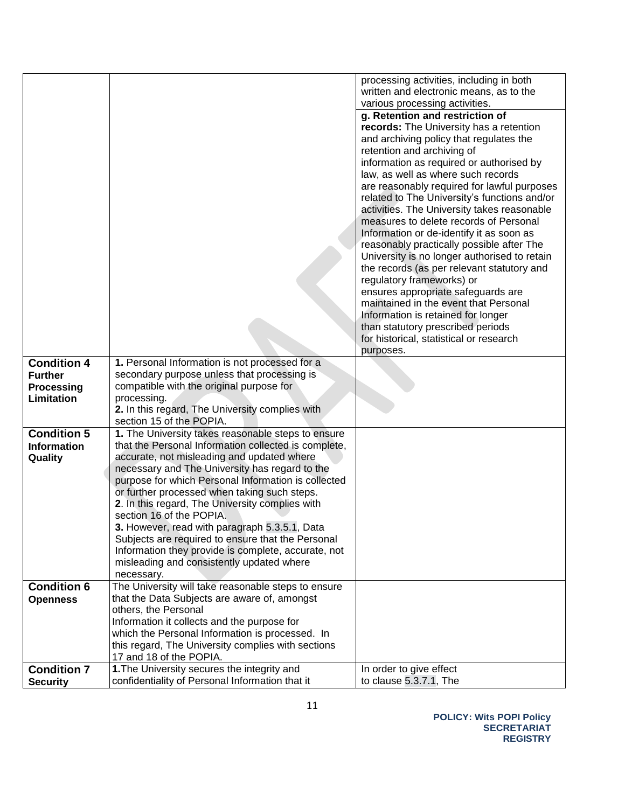|                          |                                                                      | processing activities, including in both     |
|--------------------------|----------------------------------------------------------------------|----------------------------------------------|
|                          |                                                                      | written and electronic means, as to the      |
|                          |                                                                      | various processing activities.               |
|                          |                                                                      | g. Retention and restriction of              |
|                          |                                                                      | records: The University has a retention      |
|                          |                                                                      | and archiving policy that regulates the      |
|                          |                                                                      | retention and archiving of                   |
|                          |                                                                      | information as required or authorised by     |
|                          |                                                                      | law, as well as where such records           |
|                          |                                                                      | are reasonably required for lawful purposes  |
|                          |                                                                      | related to The University's functions and/or |
|                          |                                                                      | activities. The University takes reasonable  |
|                          |                                                                      | measures to delete records of Personal       |
|                          |                                                                      | Information or de-identify it as soon as     |
|                          |                                                                      | reasonably practically possible after The    |
|                          |                                                                      | University is no longer authorised to retain |
|                          |                                                                      | the records (as per relevant statutory and   |
|                          |                                                                      | regulatory frameworks) or                    |
|                          |                                                                      | ensures appropriate safeguards are           |
|                          |                                                                      | maintained in the event that Personal        |
|                          |                                                                      | Information is retained for longer           |
|                          |                                                                      | than statutory prescribed periods            |
|                          |                                                                      | for historical, statistical or research      |
| <b>Condition 4</b>       | 1. Personal Information is not processed for a                       | purposes.                                    |
|                          | secondary purpose unless that processing is                          |                                              |
| <b>Further</b>           | compatible with the original purpose for                             |                                              |
| Processing<br>Limitation | processing.                                                          |                                              |
|                          | 2. In this regard, The University complies with                      |                                              |
|                          | section 15 of the POPIA.                                             |                                              |
| <b>Condition 5</b>       | 1. The University takes reasonable steps to ensure                   |                                              |
| <b>Information</b>       | that the Personal Information collected is complete,                 |                                              |
| Quality                  | accurate, not misleading and updated where                           |                                              |
|                          | necessary and The University has regard to the                       |                                              |
|                          | purpose for which Personal Information is collected                  |                                              |
|                          | or further processed when taking such steps.                         |                                              |
|                          | 2. In this regard, The University complies with                      |                                              |
|                          | section 16 of the POPIA.                                             |                                              |
|                          | 3. However, read with paragraph 5.3.5.1, Data                        |                                              |
|                          | Subjects are required to ensure that the Personal                    |                                              |
|                          | Information they provide is complete, accurate, not                  |                                              |
|                          | misleading and consistently updated where                            |                                              |
|                          | necessary.                                                           |                                              |
| <b>Condition 6</b>       | The University will take reasonable steps to ensure                  |                                              |
| <b>Openness</b>          | that the Data Subjects are aware of, amongst<br>others, the Personal |                                              |
|                          | Information it collects and the purpose for                          |                                              |
|                          | which the Personal Information is processed. In                      |                                              |
|                          | this regard, The University complies with sections                   |                                              |
|                          | 17 and 18 of the POPIA.                                              |                                              |
| <b>Condition 7</b>       | 1. The University secures the integrity and                          | In order to give effect                      |
| <b>Security</b>          | confidentiality of Personal Information that it                      | to clause 5.3.7.1, The                       |
|                          |                                                                      |                                              |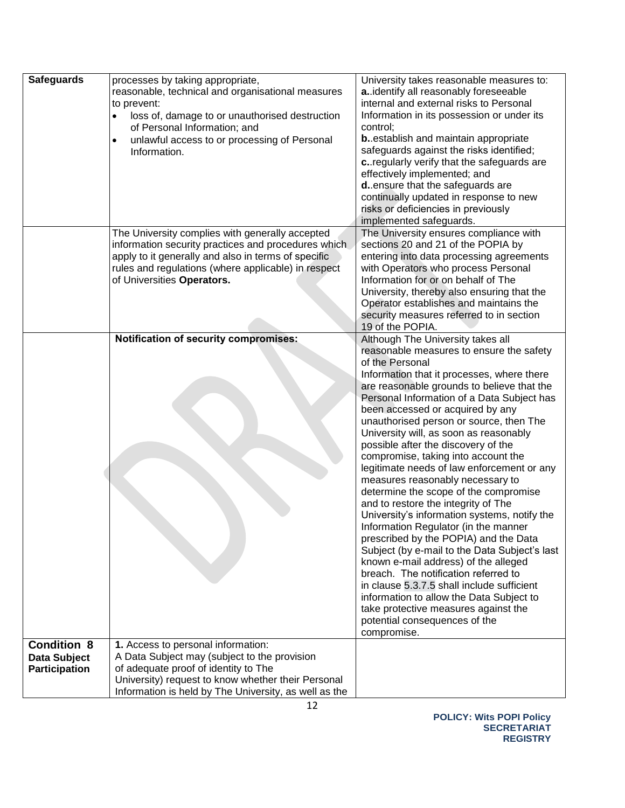| <b>Safeguards</b>                                                 | processes by taking appropriate,<br>reasonable, technical and organisational measures<br>to prevent:<br>loss of, damage to or unauthorised destruction<br>of Personal Information; and<br>unlawful access to or processing of Personal<br>Information. | University takes reasonable measures to:<br>a. identify all reasonably foreseeable<br>internal and external risks to Personal<br>Information in its possession or under its<br>control;<br><b>b.</b> establish and maintain appropriate<br>safeguards against the risks identified;<br>c. regularly verify that the safeguards are<br>effectively implemented; and<br>d. ensure that the safeguards are                                                                                                                                                                                                                                                                                                                                                                                                                                                                                                                                                                                                                                                                 |
|-------------------------------------------------------------------|--------------------------------------------------------------------------------------------------------------------------------------------------------------------------------------------------------------------------------------------------------|-------------------------------------------------------------------------------------------------------------------------------------------------------------------------------------------------------------------------------------------------------------------------------------------------------------------------------------------------------------------------------------------------------------------------------------------------------------------------------------------------------------------------------------------------------------------------------------------------------------------------------------------------------------------------------------------------------------------------------------------------------------------------------------------------------------------------------------------------------------------------------------------------------------------------------------------------------------------------------------------------------------------------------------------------------------------------|
|                                                                   |                                                                                                                                                                                                                                                        | continually updated in response to new<br>risks or deficiencies in previously<br>implemented safeguards.                                                                                                                                                                                                                                                                                                                                                                                                                                                                                                                                                                                                                                                                                                                                                                                                                                                                                                                                                                |
|                                                                   | The University complies with generally accepted<br>information security practices and procedures which<br>apply to it generally and also in terms of specific<br>rules and regulations (where applicable) in respect<br>of Universities Operators.     | The University ensures compliance with<br>sections 20 and 21 of the POPIA by<br>entering into data processing agreements<br>with Operators who process Personal<br>Information for or on behalf of The<br>University, thereby also ensuring that the<br>Operator establishes and maintains the<br>security measures referred to in section<br>19 of the POPIA.                                                                                                                                                                                                                                                                                                                                                                                                                                                                                                                                                                                                                                                                                                          |
|                                                                   | <b>Notification of security compromises:</b>                                                                                                                                                                                                           | Although The University takes all<br>reasonable measures to ensure the safety<br>of the Personal<br>Information that it processes, where there<br>are reasonable grounds to believe that the<br>Personal Information of a Data Subject has<br>been accessed or acquired by any<br>unauthorised person or source, then The<br>University will, as soon as reasonably<br>possible after the discovery of the<br>compromise, taking into account the<br>legitimate needs of law enforcement or any<br>measures reasonably necessary to<br>determine the scope of the compromise<br>and to restore the integrity of The<br>University's information systems, notify the<br>Information Regulator (in the manner<br>prescribed by the POPIA) and the Data<br>Subject (by e-mail to the Data Subject's last<br>known e-mail address) of the alleged<br>breach. The notification referred to<br>in clause 5.3.7.5 shall include sufficient<br>information to allow the Data Subject to<br>take protective measures against the<br>potential consequences of the<br>compromise. |
| <b>Condition 8</b><br><b>Data Subject</b><br><b>Participation</b> | 1. Access to personal information:<br>A Data Subject may (subject to the provision<br>of adequate proof of identity to The<br>University) request to know whether their Personal<br>Information is held by The University, as well as the              |                                                                                                                                                                                                                                                                                                                                                                                                                                                                                                                                                                                                                                                                                                                                                                                                                                                                                                                                                                                                                                                                         |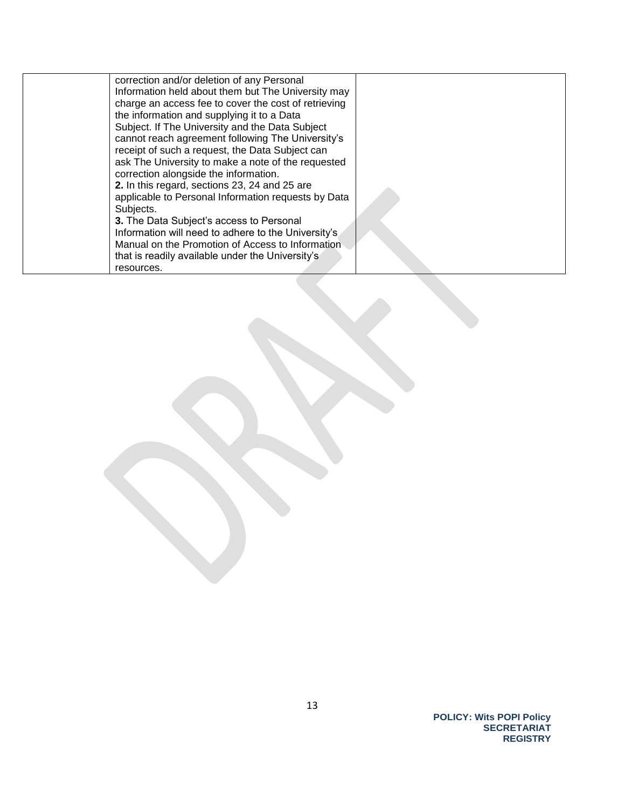| correction and/or deletion of any Personal<br>Information held about them but The University may<br>charge an access fee to cover the cost of retrieving<br>the information and supplying it to a Data<br>Subject. If The University and the Data Subject<br>cannot reach agreement following The University's<br>receipt of such a request, the Data Subject can<br>ask The University to make a note of the requested<br>correction alongside the information.<br>2. In this regard, sections 23, 24 and 25 are<br>applicable to Personal Information requests by Data<br>Subjects.<br>3. The Data Subject's access to Personal |  |
|-----------------------------------------------------------------------------------------------------------------------------------------------------------------------------------------------------------------------------------------------------------------------------------------------------------------------------------------------------------------------------------------------------------------------------------------------------------------------------------------------------------------------------------------------------------------------------------------------------------------------------------|--|
| Information will need to adhere to the University's                                                                                                                                                                                                                                                                                                                                                                                                                                                                                                                                                                               |  |
| Manual on the Promotion of Access to Information<br>that is readily available under the University's<br>resources.                                                                                                                                                                                                                                                                                                                                                                                                                                                                                                                |  |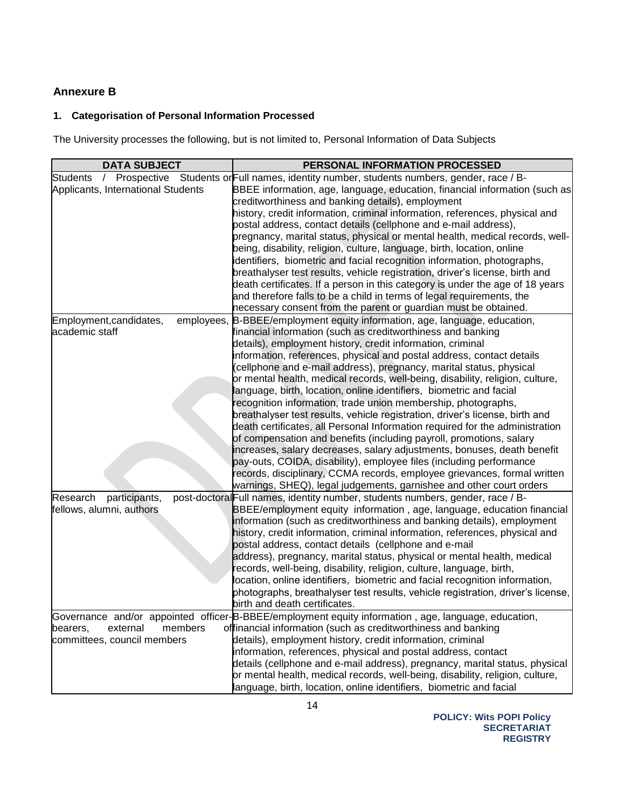## **Annexure B**

# **1. Categorisation of Personal Information Processed**

The University processes the following, but is not limited to, Personal Information of Data Subjects

| <b>DATA SUBJECT</b>                | PERSONAL INFORMATION PROCESSED                                                                                                               |
|------------------------------------|----------------------------------------------------------------------------------------------------------------------------------------------|
| <b>Students</b><br>$\sqrt{ }$      | Prospective Students or Full names, identity number, students numbers, gender, race / B-                                                     |
| Applicants, International Students | BBEE information, age, language, education, financial information (such as                                                                   |
|                                    | creditworthiness and banking details), employment                                                                                            |
|                                    | history, credit information, criminal information, references, physical and                                                                  |
|                                    | postal address, contact details (cellphone and e-mail address),                                                                              |
|                                    | pregnancy, marital status, physical or mental health, medical records, well-                                                                 |
|                                    | being, disability, religion, culture, language, birth, location, online                                                                      |
|                                    | identifiers, biometric and facial recognition information, photographs,                                                                      |
|                                    | breathalyser test results, vehicle registration, driver's license, birth and                                                                 |
|                                    | death certificates. If a person in this category is under the age of 18 years                                                                |
|                                    | and therefore falls to be a child in terms of legal requirements, the                                                                        |
|                                    | necessary consent from the parent or guardian must be obtained.                                                                              |
| Employment, candidates,            | employees, B-BBEE/employment equity information, age, language, education,                                                                   |
| academic staff                     | financial information (such as creditworthiness and banking                                                                                  |
|                                    | details), employment history, credit information, criminal                                                                                   |
|                                    | information, references, physical and postal address, contact details<br>(cellphone and e-mail address), pregnancy, marital status, physical |
|                                    | or mental health, medical records, well-being, disability, religion, culture,                                                                |
|                                    | language, birth, location, online identifiers, biometric and facial                                                                          |
|                                    | recognition information, trade union membership, photographs,                                                                                |
|                                    | breathalyser test results, vehicle registration, driver's license, birth and                                                                 |
|                                    | death certificates, all Personal Information required for the administration                                                                 |
|                                    | of compensation and benefits (including payroll, promotions, salary                                                                          |
|                                    | increases, salary decreases, salary adjustments, bonuses, death benefit                                                                      |
|                                    | pay-outs, COIDA, disability), employee files (including performance                                                                          |
|                                    | records, disciplinary, CCMA records, employee grievances, formal written                                                                     |
|                                    | warnings, SHEQ), legal judgements, garnishee and other court orders                                                                          |
| Research<br>participants,          | post-doctoral Full names, identity number, students numbers, gender, race / B-                                                               |
| fellows, alumni, authors           | BBEE/employment equity information, age, language, education financial                                                                       |
|                                    | information (such as creditworthiness and banking details), employment                                                                       |
|                                    | history, credit information, criminal information, references, physical and                                                                  |
|                                    | postal address, contact details (cellphone and e-mail                                                                                        |
|                                    | address), pregnancy, marital status, physical or mental health, medical                                                                      |
|                                    | records, well-being, disability, religion, culture, language, birth,                                                                         |
|                                    | location, online identifiers, biometric and facial recognition information,                                                                  |
|                                    | photographs, breathalyser test results, vehicle registration, driver's license,                                                              |
|                                    | birth and death certificates.                                                                                                                |
| members                            | Governance and/or appointed officer-B-BBEE/employment equity information, age, language, education,                                          |
| external<br>bearers.               | offinancial information (such as creditworthiness and banking<br>details), employment history, credit information, criminal                  |
| committees, council members        | information, references, physical and postal address, contact                                                                                |
|                                    | details (cellphone and e-mail address), pregnancy, marital status, physical                                                                  |
|                                    | or mental health, medical records, well-being, disability, religion, culture,                                                                |
|                                    | language, birth, location, online identifiers, biometric and facial                                                                          |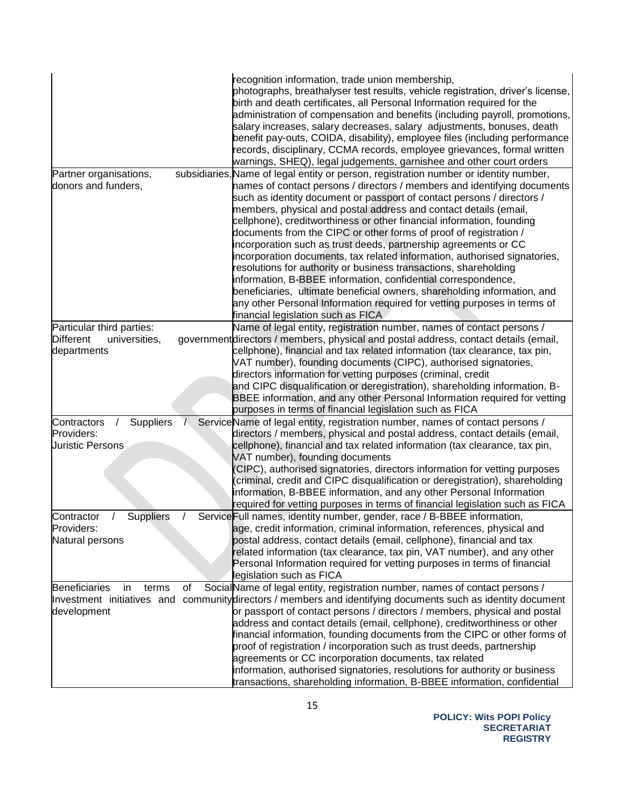|                                           |    | recognition information, trade union membership,<br>photographs, breathalyser test results, vehicle registration, driver's license,<br>birth and death certificates, all Personal Information required for the<br>administration of compensation and benefits (including payroll, promotions,<br>salary increases, salary decreases, salary adjustments, bonuses, death<br>benefit pay-outs, COIDA, disability), employee files (including performance<br>records, disciplinary, CCMA records, employee grievances, formal written<br>warnings, SHEQ), legal judgements, garnishee and other court orders                                                                                                                                                                                                                                               |
|-------------------------------------------|----|---------------------------------------------------------------------------------------------------------------------------------------------------------------------------------------------------------------------------------------------------------------------------------------------------------------------------------------------------------------------------------------------------------------------------------------------------------------------------------------------------------------------------------------------------------------------------------------------------------------------------------------------------------------------------------------------------------------------------------------------------------------------------------------------------------------------------------------------------------|
| Partner organisations,                    |    | subsidiaries, Name of legal entity or person, registration number or identity number,                                                                                                                                                                                                                                                                                                                                                                                                                                                                                                                                                                                                                                                                                                                                                                   |
| donors and funders,                       |    | hames of contact persons / directors / members and identifying documents<br>such as identity document or passport of contact persons / directors /<br>members, physical and postal address and contact details (email,<br>cellphone), creditworthiness or other financial information, founding<br>documents from the CIPC or other forms of proof of registration /<br>incorporation such as trust deeds, partnership agreements or CC<br>incorporation documents, tax related information, authorised signatories,<br>resolutions for authority or business transactions, shareholding<br>information, B-BBEE information, confidential correspondence,<br>beneficiaries, ultimate beneficial owners, shareholding information, and<br>any other Personal Information required for vetting purposes in terms of<br>financial legislation such as FICA |
| Particular third parties:                 |    | Name of legal entity, registration number, names of contact persons /                                                                                                                                                                                                                                                                                                                                                                                                                                                                                                                                                                                                                                                                                                                                                                                   |
| <b>Different</b><br>universities,         |    | government directors / members, physical and postal address, contact details (email,                                                                                                                                                                                                                                                                                                                                                                                                                                                                                                                                                                                                                                                                                                                                                                    |
| departments                               |    | cellphone), financial and tax related information (tax clearance, tax pin,                                                                                                                                                                                                                                                                                                                                                                                                                                                                                                                                                                                                                                                                                                                                                                              |
|                                           |    | VAT number), founding documents (CIPC), authorised signatories,<br>directors information for vetting purposes (criminal, credit                                                                                                                                                                                                                                                                                                                                                                                                                                                                                                                                                                                                                                                                                                                         |
|                                           |    | and CIPC disqualification or deregistration), shareholding information, B-                                                                                                                                                                                                                                                                                                                                                                                                                                                                                                                                                                                                                                                                                                                                                                              |
|                                           |    | BBEE information, and any other Personal Information required for vetting                                                                                                                                                                                                                                                                                                                                                                                                                                                                                                                                                                                                                                                                                                                                                                               |
| Suppliers<br>Contractors                  |    | purposes in terms of financial legislation such as FICA<br>Service Name of legal entity, registration number, names of contact persons /                                                                                                                                                                                                                                                                                                                                                                                                                                                                                                                                                                                                                                                                                                                |
| Providers:                                |    | directors / members, physical and postal address, contact details (email,                                                                                                                                                                                                                                                                                                                                                                                                                                                                                                                                                                                                                                                                                                                                                                               |
| <b>Juristic Persons</b>                   |    | cellphone), financial and tax related information (tax clearance, tax pin,                                                                                                                                                                                                                                                                                                                                                                                                                                                                                                                                                                                                                                                                                                                                                                              |
|                                           |    | VAT number), founding documents                                                                                                                                                                                                                                                                                                                                                                                                                                                                                                                                                                                                                                                                                                                                                                                                                         |
|                                           |    | (CIPC), authorised signatories, directors information for vetting purposes                                                                                                                                                                                                                                                                                                                                                                                                                                                                                                                                                                                                                                                                                                                                                                              |
|                                           |    | criminal, credit and CIPC disqualification or deregistration), shareholding                                                                                                                                                                                                                                                                                                                                                                                                                                                                                                                                                                                                                                                                                                                                                                             |
|                                           |    | information, B-BBEE information, and any other Personal Information                                                                                                                                                                                                                                                                                                                                                                                                                                                                                                                                                                                                                                                                                                                                                                                     |
| <b>Suppliers</b><br>Contractor            |    | required for vetting purposes in terms of financial legislation such as FICA<br>Service Full names, identity number, gender, race / B-BBEE information,                                                                                                                                                                                                                                                                                                                                                                                                                                                                                                                                                                                                                                                                                                 |
| Providers:                                |    | age, credit information, criminal information, references, physical and                                                                                                                                                                                                                                                                                                                                                                                                                                                                                                                                                                                                                                                                                                                                                                                 |
| Natural persons                           |    | postal address, contact details (email, cellphone), financial and tax                                                                                                                                                                                                                                                                                                                                                                                                                                                                                                                                                                                                                                                                                                                                                                                   |
|                                           |    | related information (tax clearance, tax pin, VAT number), and any other                                                                                                                                                                                                                                                                                                                                                                                                                                                                                                                                                                                                                                                                                                                                                                                 |
|                                           |    | Personal Information required for vetting purposes in terms of financial                                                                                                                                                                                                                                                                                                                                                                                                                                                                                                                                                                                                                                                                                                                                                                                |
|                                           |    | legislation such as FICA                                                                                                                                                                                                                                                                                                                                                                                                                                                                                                                                                                                                                                                                                                                                                                                                                                |
| Beneficiaries<br>in<br>terms              | of | SocialName of legal entity, registration number, names of contact persons /                                                                                                                                                                                                                                                                                                                                                                                                                                                                                                                                                                                                                                                                                                                                                                             |
| Investment initiatives and<br>development |    | community directors / members and identifying documents such as identity document<br>or passport of contact persons / directors / members, physical and postal                                                                                                                                                                                                                                                                                                                                                                                                                                                                                                                                                                                                                                                                                          |
|                                           |    | address and contact details (email, cellphone), creditworthiness or other                                                                                                                                                                                                                                                                                                                                                                                                                                                                                                                                                                                                                                                                                                                                                                               |
|                                           |    | financial information, founding documents from the CIPC or other forms of                                                                                                                                                                                                                                                                                                                                                                                                                                                                                                                                                                                                                                                                                                                                                                               |
|                                           |    | proof of registration / incorporation such as trust deeds, partnership                                                                                                                                                                                                                                                                                                                                                                                                                                                                                                                                                                                                                                                                                                                                                                                  |
|                                           |    | agreements or CC incorporation documents, tax related                                                                                                                                                                                                                                                                                                                                                                                                                                                                                                                                                                                                                                                                                                                                                                                                   |
|                                           |    | information, authorised signatories, resolutions for authority or business                                                                                                                                                                                                                                                                                                                                                                                                                                                                                                                                                                                                                                                                                                                                                                              |
|                                           |    | transactions, shareholding information, B-BBEE information, confidential                                                                                                                                                                                                                                                                                                                                                                                                                                                                                                                                                                                                                                                                                                                                                                                |